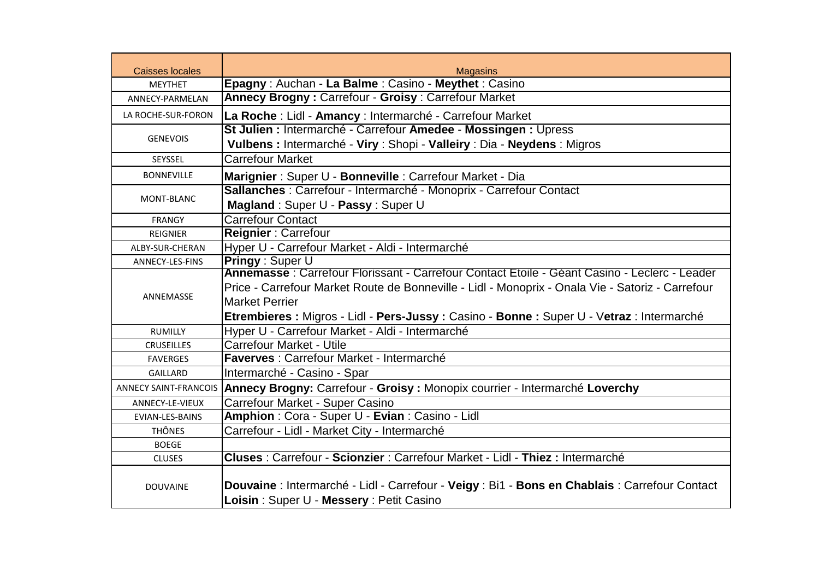| <b>Caisses locales</b>       | <b>Magasins</b>                                                                                                                                                                                                                                                                                                          |  |  |
|------------------------------|--------------------------------------------------------------------------------------------------------------------------------------------------------------------------------------------------------------------------------------------------------------------------------------------------------------------------|--|--|
| <b>MEYTHET</b>               | Epagny: Auchan - La Balme: Casino - Meythet: Casino                                                                                                                                                                                                                                                                      |  |  |
| ANNECY-PARMELAN              | Annecy Brogny: Carrefour - Groisy: Carrefour Market                                                                                                                                                                                                                                                                      |  |  |
| LA ROCHE-SUR-FORON           | La Roche : Lidl - Amancy : Intermarché - Carrefour Market                                                                                                                                                                                                                                                                |  |  |
| <b>GENEVOIS</b>              | St Julien : Intermarché - Carrefour Amedee - Mossingen : Upress<br>Vulbens : Intermarché - Viry : Shopi - Valleiry : Dia - Neydens : Migros                                                                                                                                                                              |  |  |
| SEYSSEL                      | <b>Carrefour Market</b>                                                                                                                                                                                                                                                                                                  |  |  |
| <b>BONNEVILLE</b>            | Marignier: Super U - Bonneville: Carrefour Market - Dia                                                                                                                                                                                                                                                                  |  |  |
| MONT-BLANC                   | Sallanches : Carrefour - Intermarché - Monoprix - Carrefour Contact<br>Magland: Super U - Passy: Super U                                                                                                                                                                                                                 |  |  |
| <b>FRANGY</b>                | <b>Carrefour Contact</b>                                                                                                                                                                                                                                                                                                 |  |  |
| <b>REIGNIER</b>              | Reignier: Carrefour                                                                                                                                                                                                                                                                                                      |  |  |
| ALBY-SUR-CHERAN              | Hyper U - Carrefour Market - Aldi - Intermarché                                                                                                                                                                                                                                                                          |  |  |
| ANNECY-LES-FINS              | <b>Pringy: Super U</b>                                                                                                                                                                                                                                                                                                   |  |  |
| ANNEMASSE                    | Annemasse : Carrefour Florissant - Carrefour Contact Etoile - Géant Casino - Leclerc - Leader<br>Price - Carrefour Market Route de Bonneville - Lidl - Monoprix - Onala Vie - Satoriz - Carrefour<br><b>Market Perrier</b><br>Etrembieres : Migros - Lidl - Pers-Jussy : Casino - Bonne : Super U - Vetraz : Intermarché |  |  |
| <b>RUMILLY</b>               | Hyper U - Carrefour Market - Aldi - Intermarché                                                                                                                                                                                                                                                                          |  |  |
| <b>CRUSEILLES</b>            | Carrefour Market - Utile                                                                                                                                                                                                                                                                                                 |  |  |
| <b>FAVERGES</b>              | Faverves : Carrefour Market - Intermarché                                                                                                                                                                                                                                                                                |  |  |
| <b>GAILLARD</b>              | Intermarché - Casino - Spar                                                                                                                                                                                                                                                                                              |  |  |
| <b>ANNECY SAINT-FRANCOIS</b> | Annecy Brogny: Carrefour - Groisy: Monopix courrier - Intermarché Loverchy                                                                                                                                                                                                                                               |  |  |
| ANNECY-LE-VIEUX              | Carrefour Market - Super Casino                                                                                                                                                                                                                                                                                          |  |  |
| EVIAN-LES-BAINS              | Amphion: Cora - Super U - Evian: Casino - Lidl                                                                                                                                                                                                                                                                           |  |  |
| <b>THÔNES</b>                | Carrefour - Lidl - Market City - Intermarché                                                                                                                                                                                                                                                                             |  |  |
| <b>BOEGE</b>                 |                                                                                                                                                                                                                                                                                                                          |  |  |
| <b>CLUSES</b>                | Cluses : Carrefour - Scionzier : Carrefour Market - Lidl - Thiez : Intermarché                                                                                                                                                                                                                                           |  |  |
| <b>DOUVAINE</b>              | Douvaine : Intermarché - Lidl - Carrefour - Veigy : Bi1 - Bons en Chablais : Carrefour Contact<br>Loisin: Super U - Messery: Petit Casino                                                                                                                                                                                |  |  |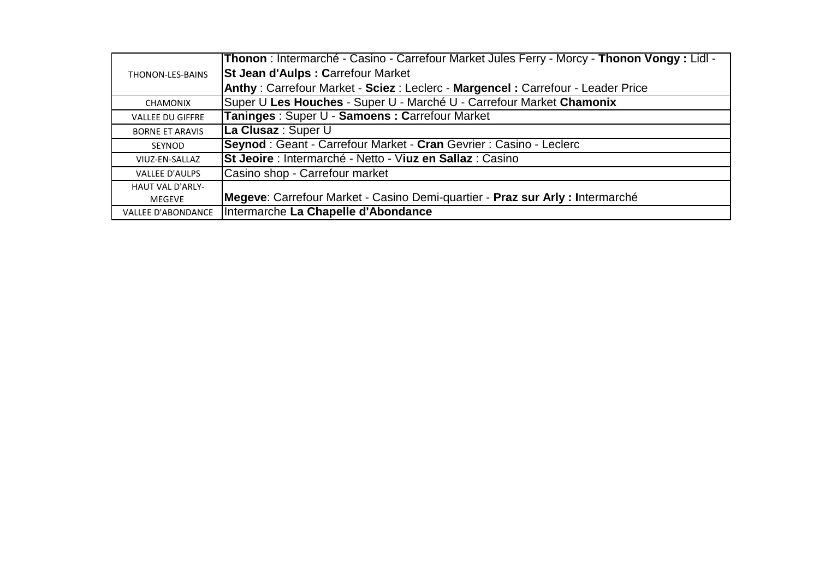|                           | <b>Thonon</b> : Intermarché - Casino - Carrefour Market Jules Ferry - Morcy - Thonon Vongy : Lidl - |  |  |
|---------------------------|-----------------------------------------------------------------------------------------------------|--|--|
| THONON-LES-BAINS          | <b>St Jean d'Aulps : Carrefour Market</b>                                                           |  |  |
|                           | Anthy: Carrefour Market - Sciez: Leclerc - Margencel: Carrefour - Leader Price                      |  |  |
| CHAMONIX                  | Super U Les Houches - Super U - Marché U - Carrefour Market Chamonix                                |  |  |
| <b>VALLEE DU GIFFRE</b>   | Taninges: Super U - Samoens: Carrefour Market                                                       |  |  |
| <b>BORNE ET ARAVIS</b>    | La Clusaz : Super U                                                                                 |  |  |
| SEYNOD                    | Seynod: Geant - Carrefour Market - Cran Gevrier: Casino - Leclerc                                   |  |  |
| VIUZ-EN-SALLAZ            | St Jeoire : Intermarché - Netto - Viuz en Sallaz : Casino                                           |  |  |
| <b>VALLEE D'AULPS</b>     | Casino shop - Carrefour market                                                                      |  |  |
| <b>HAUT VAL D'ARLY-</b>   |                                                                                                     |  |  |
| <b>MEGEVE</b>             | Megeve: Carrefour Market - Casino Demi-quartier - Praz sur Arly : Intermarché                       |  |  |
| <b>VALLEE D'ABONDANCE</b> | Intermarche La Chapelle d'Abondance                                                                 |  |  |